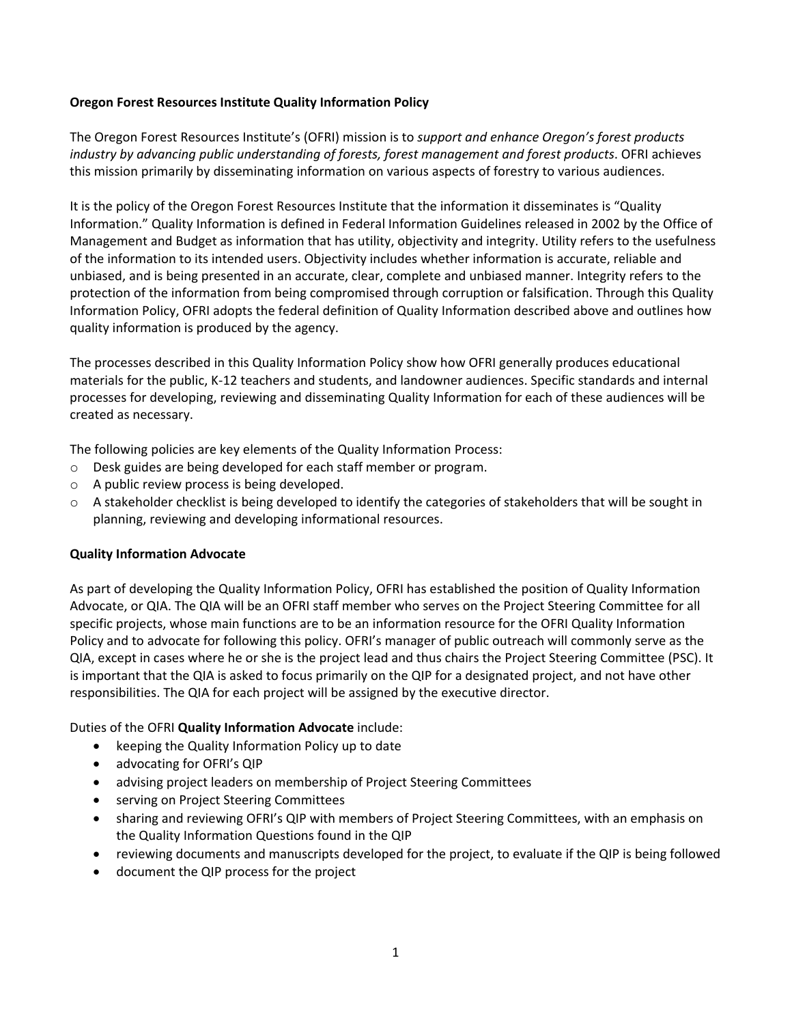# **Oregon Forest Resources Institute Quality Information Policy**

The Oregon Forest Resources Institute's (OFRI) mission is to *support and enhance Oregon's forest products industry by advancing public understanding of forests, forest management and forest products*. OFRI achieves this mission primarily by disseminating information on various aspects of forestry to various audiences.

It is the policy of the Oregon Forest Resources Institute that the information it disseminates is "Quality Information." Quality Information is defined in Federal Information Guidelines released in 2002 by the Office of Management and Budget as information that has utility, objectivity and integrity. Utility refers to the usefulness of the information to its intended users. Objectivity includes whether information is accurate, reliable and unbiased, and is being presented in an accurate, clear, complete and unbiased manner. Integrity refers to the protection of the information from being compromised through corruption or falsification. Through this Quality Information Policy, OFRI adopts the federal definition of Quality Information described above and outlines how quality information is produced by the agency.

The processes described in this Quality Information Policy show how OFRI generally produces educational materials for the public, K‐12 teachers and students, and landowner audiences. Specific standards and internal processes for developing, reviewing and disseminating Quality Information for each of these audiences will be created as necessary.

The following policies are key elements of the Quality Information Process:

- o Desk guides are being developed for each staff member or program.
- o A public review process is being developed.
- o A stakeholder checklist is being developed to identify the categories of stakeholders that will be sought in planning, reviewing and developing informational resources.

## **Quality Information Advocate**

As part of developing the Quality Information Policy, OFRI has established the position of Quality Information Advocate, or QIA. The QIA will be an OFRI staff member who serves on the Project Steering Committee for all specific projects, whose main functions are to be an information resource for the OFRI Quality Information Policy and to advocate for following this policy. OFRI's manager of public outreach will commonly serve as the QIA, except in cases where he or she is the project lead and thus chairs the Project Steering Committee (PSC). It is important that the QIA is asked to focus primarily on the QIP for a designated project, and not have other responsibilities. The QIA for each project will be assigned by the executive director.

## Duties of the OFRI **Quality Information Advocate** include:

- keeping the Quality Information Policy up to date
- advocating for OFRI's QIP
- advising project leaders on membership of Project Steering Committees
- serving on Project Steering Committees
- sharing and reviewing OFRI's QIP with members of Project Steering Committees, with an emphasis on the Quality Information Questions found in the QIP
- reviewing documents and manuscripts developed for the project, to evaluate if the QIP is being followed
- document the QIP process for the project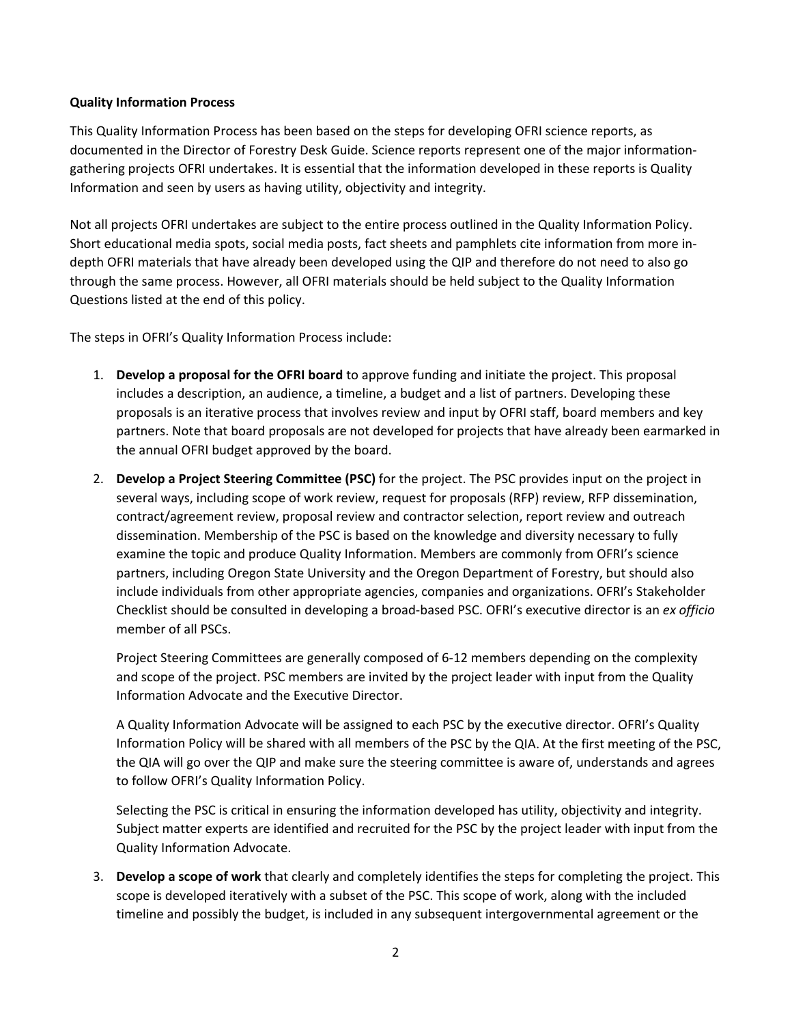## **Quality Information Process**

This Quality Information Process has been based on the steps for developing OFRI science reports, as documented in the Director of Forestry Desk Guide. Science reports represent one of the major information‐ gathering projects OFRI undertakes. It is essential that the information developed in these reports is Quality Information and seen by users as having utility, objectivity and integrity.

Not all projects OFRI undertakes are subject to the entire process outlined in the Quality Information Policy. Short educational media spots, social media posts, fact sheets and pamphlets cite information from more in‐ depth OFRI materials that have already been developed using the QIP and therefore do not need to also go through the same process. However, all OFRI materials should be held subject to the Quality Information Questions listed at the end of this policy.

The steps in OFRI's Quality Information Process include:

- 1. **Develop a proposal for the OFRI board** to approve funding and initiate the project. This proposal includes a description, an audience, a timeline, a budget and a list of partners. Developing these proposals is an iterative process that involves review and input by OFRI staff, board members and key partners. Note that board proposals are not developed for projects that have already been earmarked in the annual OFRI budget approved by the board.
- 2. **Develop a Project Steering Committee (PSC)** for the project. The PSC provides input on the project in several ways, including scope of work review, request for proposals (RFP) review, RFP dissemination, contract/agreement review, proposal review and contractor selection, report review and outreach dissemination. Membership of the PSC is based on the knowledge and diversity necessary to fully examine the topic and produce Quality Information. Members are commonly from OFRI's science partners, including Oregon State University and the Oregon Department of Forestry, but should also include individuals from other appropriate agencies, companies and organizations. OFRI's Stakeholder Checklist should be consulted in developing a broad‐based PSC. OFRI's executive director is an *ex officio* member of all PSCs.

Project Steering Committees are generally composed of 6‐12 members depending on the complexity and scope of the project. PSC members are invited by the project leader with input from the Quality Information Advocate and the Executive Director.

A Quality Information Advocate will be assigned to each PSC by the executive director. OFRI's Quality Information Policy will be shared with all members of the PSC by the QIA. At the first meeting of the PSC, the QIA will go over the QIP and make sure the steering committee is aware of, understands and agrees to follow OFRI's Quality Information Policy.

Selecting the PSC is critical in ensuring the information developed has utility, objectivity and integrity. Subject matter experts are identified and recruited for the PSC by the project leader with input from the Quality Information Advocate.

3. **Develop a scope of work** that clearly and completely identifies the steps for completing the project. This scope is developed iteratively with a subset of the PSC. This scope of work, along with the included timeline and possibly the budget, is included in any subsequent intergovernmental agreement or the